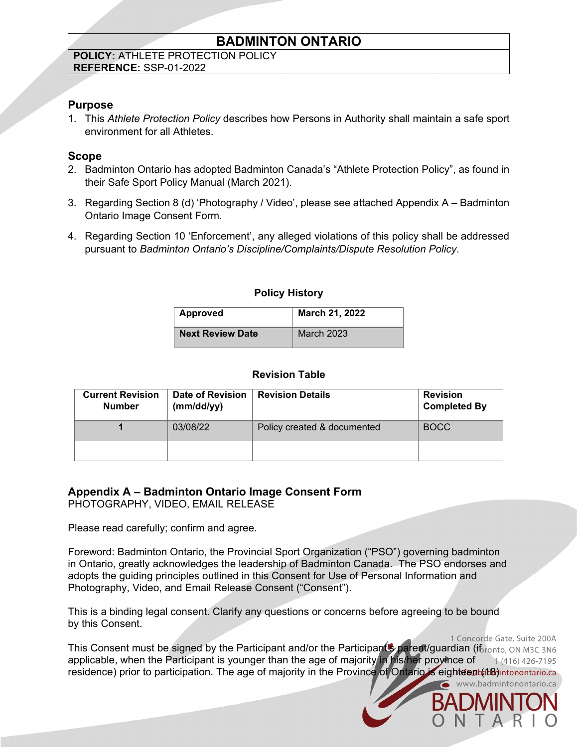# **BADMINTON ONTARIO**

#### **POLICY:** ATHLETE PROTECTION POLICY **REFERENCE:** SSP-01-2022

## **Purpose**

1. This *Athlete Protection Policy* describes how Persons in Authority shall maintain a safe sport environment for all Athletes.

## **Scope**

- 2. Badminton Ontario has adopted Badminton Canada's "Athlete Protection Policy", as found in their Safe Sport Policy Manual (March 2021).
- 3. Regarding Section 8 (d) 'Photography / Video', please see attached Appendix A Badminton Ontario Image Consent Form.
- 4. Regarding Section 10 'Enforcement', any alleged violations of this policy shall be addressed pursuant to *Badminton Ontario's Discipline/Complaints/Dispute Resolution Policy*.

## **Policy History**

| Approved                | March 21, 2022    |  |
|-------------------------|-------------------|--|
| <b>Next Review Date</b> | <b>March 2023</b> |  |

## **Revision Table**

| <b>Current Revision</b><br><b>Number</b> | Date of Revision<br>(mm/dd/yy) | <b>Revision Details</b>     | <b>Revision</b><br><b>Completed By</b> |
|------------------------------------------|--------------------------------|-----------------------------|----------------------------------------|
|                                          | 03/08/22                       | Policy created & documented | <b>BOCC</b>                            |
|                                          |                                |                             |                                        |

# **Appendix A – Badminton Ontario Image Consent Form**

PHOTOGRAPHY, VIDEO, EMAIL RELEASE

Please read carefully; confirm and agree.

Foreword: Badminton Ontario, the Provincial Sport Organization ("PSO") governing badminton in Ontario, greatly acknowledges the leadership of Badminton Canada. The PSO endorses and adopts the guiding principles outlined in this Consent for Use of Personal Information and Photography, Video, and Email Release Consent ("Consent").

This is a binding legal consent. Clarify any questions or concerns before agreeing to be bound by this Consent.

1 Concorde Gate, Suite 200A This Consent must be signed by the Participant and/or the Participant's parent/guardian (if ronto, ON M3C 3N6 applicable, when the Participant is younger than the age of majority in his/her province of 1 (416) 426-7195 residence) prior to participation. The age of majority in the Province of Ontario is eighteen (48) intonontario.ca www.badmintonontario.ca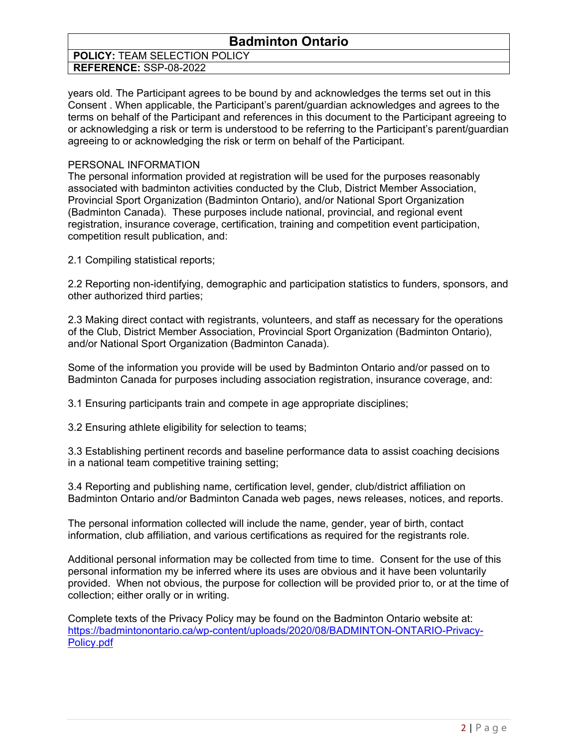# **Badminton Ontario**

#### **POLICY:** TEAM SELECTION POLICY **REFERENCE:** SSP-08-2022

years old. The Participant agrees to be bound by and acknowledges the terms set out in this Consent . When applicable, the Participant's parent/guardian acknowledges and agrees to the terms on behalf of the Participant and references in this document to the Participant agreeing to or acknowledging a risk or term is understood to be referring to the Participant's parent/guardian agreeing to or acknowledging the risk or term on behalf of the Participant.

#### PERSONAL INFORMATION

The personal information provided at registration will be used for the purposes reasonably associated with badminton activities conducted by the Club, District Member Association, Provincial Sport Organization (Badminton Ontario), and/or National Sport Organization (Badminton Canada). These purposes include national, provincial, and regional event registration, insurance coverage, certification, training and competition event participation, competition result publication, and:

2.1 Compiling statistical reports;

2.2 Reporting non-identifying, demographic and participation statistics to funders, sponsors, and other authorized third parties;

2.3 Making direct contact with registrants, volunteers, and staff as necessary for the operations of the Club, District Member Association, Provincial Sport Organization (Badminton Ontario), and/or National Sport Organization (Badminton Canada).

Some of the information you provide will be used by Badminton Ontario and/or passed on to Badminton Canada for purposes including association registration, insurance coverage, and:

3.1 Ensuring participants train and compete in age appropriate disciplines;

3.2 Ensuring athlete eligibility for selection to teams;

3.3 Establishing pertinent records and baseline performance data to assist coaching decisions in a national team competitive training setting;

3.4 Reporting and publishing name, certification level, gender, club/district affiliation on Badminton Ontario and/or Badminton Canada web pages, news releases, notices, and reports.

The personal information collected will include the name, gender, year of birth, contact information, club affiliation, and various certifications as required for the registrants role.

Additional personal information may be collected from time to time. Consent for the use of this personal information my be inferred where its uses are obvious and it have been voluntarily provided. When not obvious, the purpose for collection will be provided prior to, or at the time of collection; either orally or in writing.

Complete texts of the Privacy Policy may be found on the Badminton Ontario website at: [https://badmintonontario.ca/wp-content/uploads/2020/08/BADMINTON-ONTARIO-Privacy-](https://badmintonontario.ca/wp-content/uploads/2020/08/BADMINTON-ONTARIO-Privacy-Policy.pdf)[Policy.pdf](https://badmintonontario.ca/wp-content/uploads/2020/08/BADMINTON-ONTARIO-Privacy-Policy.pdf)